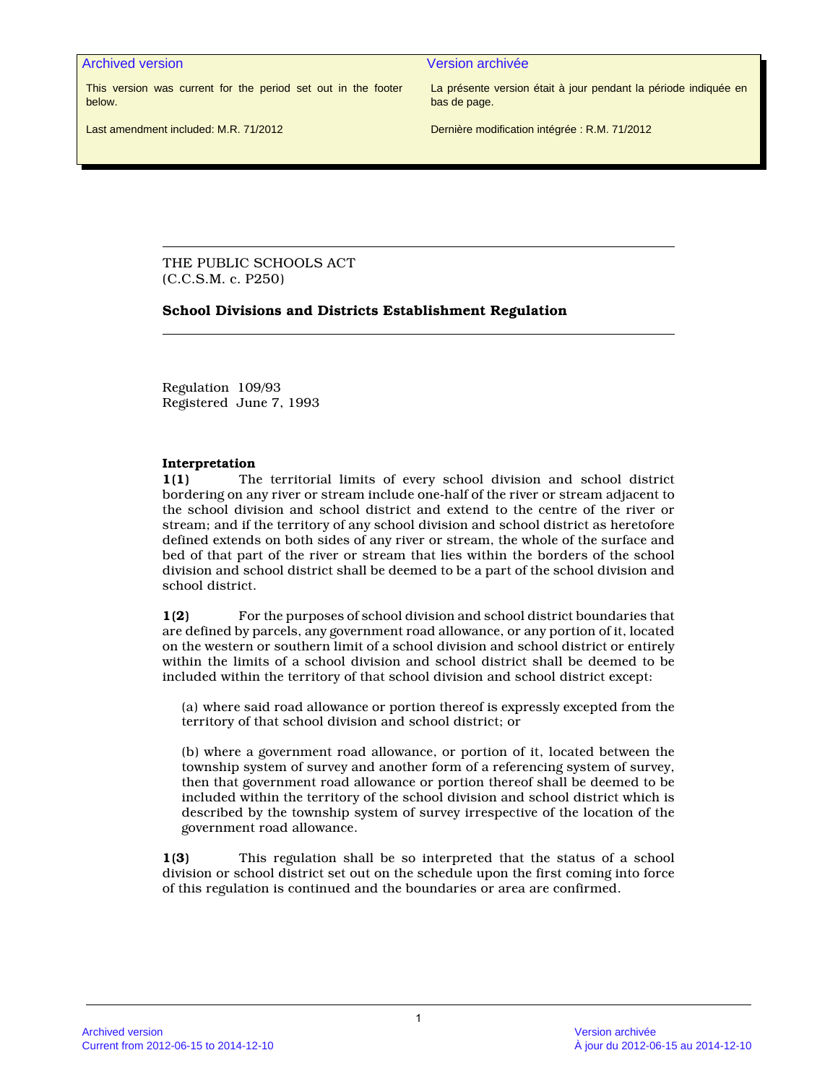Archived version Version archivée

This version was current for the period set out in the footer below.

La présente version était à jour pendant la période indiquée en bas de page.

Last amendment included: M.R. 71/2012

Dernière modification intégrée : R.M. 71/2012

THE PUBLIC SCHOOLS ACT (C.C.S.M. c. P250)

#### **School Divisions and Districts Establishment Regulation**

Regulation 109/93 Registered June 7, 1993

#### **Interpretation**

**1(1)** The territorial limits of every school division and school district bordering on any river or stream include one-half of the river or stream adjacent to the school division and school district and extend to the centre of the river or stream; and if the territory of any school division and school district as heretofore defined extends on both sides of any river or stream, the whole of the surface and bed of that part of the river or stream that lies within the borders of the school division and school district shall be deemed to be a part of the school division and school district.

**1(2)** For the purposes of school division and school district boundaries that are defined by parcels, any government road allowance, or any portion of it, located on the western or southern limit of a school division and school district or entirely within the limits of a school division and school district shall be deemed to be included within the territory of that school division and school district except:

(a) where said road allowance or portion thereof is expressly excepted from the territory of that school division and school district; or

(b) where a government road allowance, or portion of it, located between the township system of survey and another form of a referencing system of survey, then that government road allowance or portion thereof shall be deemed to be included within the territory of the school division and school district which is described by the township system of survey irrespective of the location of the government road allowance.

**1(3)** This regulation shall be so interpreted that the status of a school division or school district set out on the schedule upon the first coming into force of this regulation is continued and the boundaries or area are confirmed.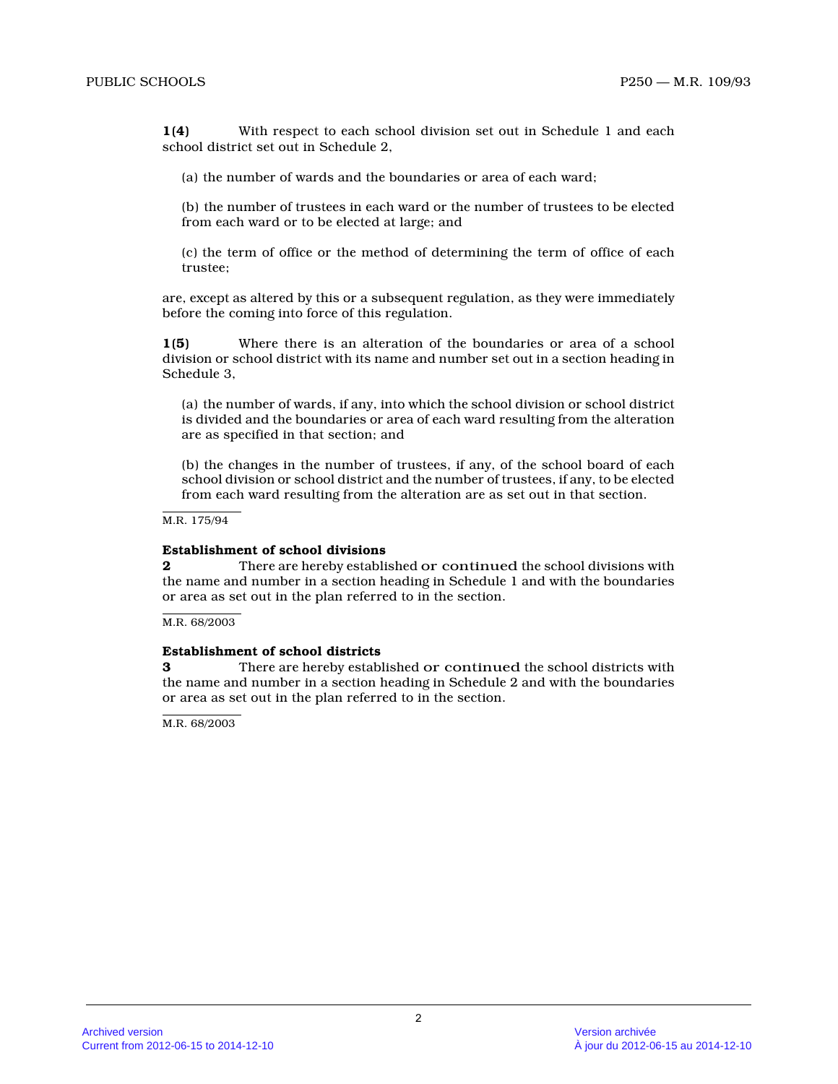**1(4)** With respect to each school division set out in Schedule 1 and each school district set out in Schedule 2,

(a) the number of wards and the boundaries or area of each ward;

(b) the number of trustees in each ward or the number of trustees to be elected from each ward or to be elected at large; and

(c) the term of office or the method of determining the term of office of each trustee;

are, except as altered by this or a subsequent regulation, as they were immediately before the coming into force of this regulation.

**1(5)** Where there is an alteration of the boundaries or area of a school division or school district with its name and number set out in a section heading in Schedule 3,

(a) the number of wards, if any, into which the school division or school district is divided and the boundaries or area of each ward resulting from the alteration are as specified in that section; and

(b) the changes in the number of trustees, if any, of the school board of each school division or school district and the number of trustees, if any, to be elected from each ward resulting from the alteration are as set out in that section.

M.R. 175/94

#### **Establishment of school divisions**

**2** There are hereby established or continued the school divisions with the name and number in a section heading in Schedule 1 and with the boundaries or area as set out in the plan referred to in the section.

M.R. 68/2003

#### **Establishment of school districts**

**3** There are hereby established or continued the school districts with the name and number in a section heading in Schedule 2 and with the boundaries or area as set out in the plan referred to in the section.

M.R. 68/2003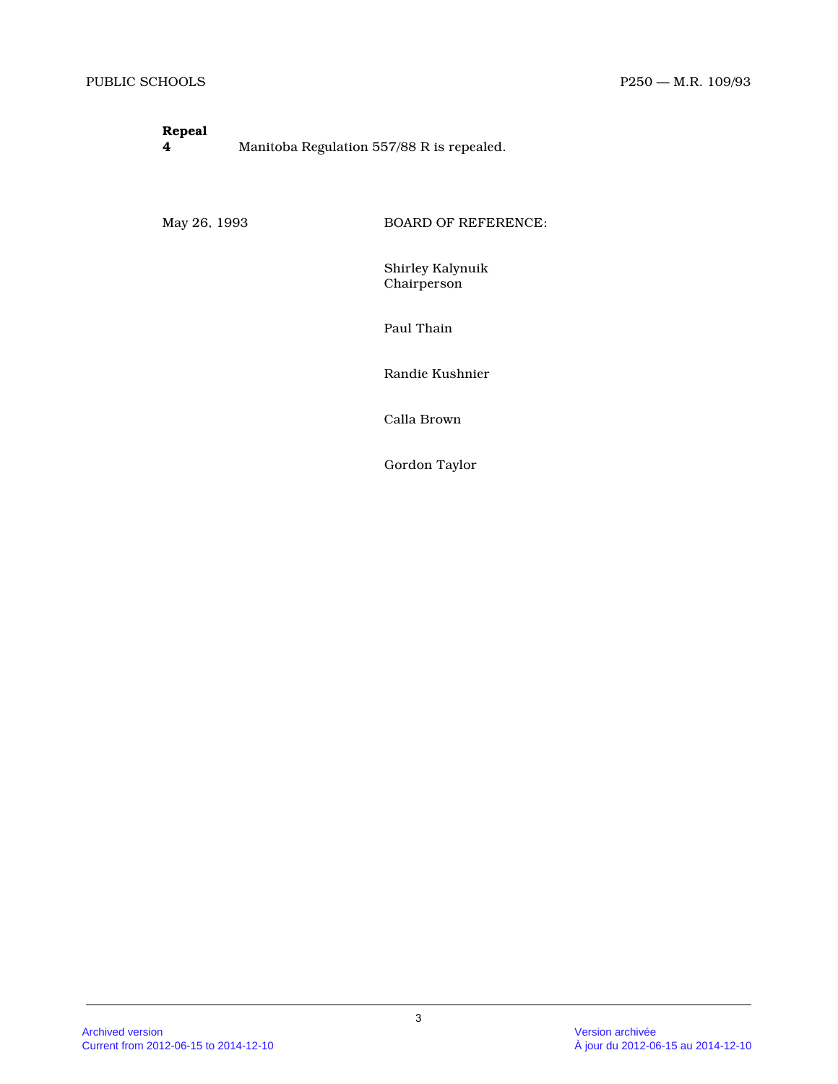# **Repeal**

**4** Manitoba Regulation 557/88 R is repealed.

May 26, 1993 BOARD OF REFERENCE:

Shirley Kalynuik Chairperson

Paul Thain

Randie Kushnier

Calla Brown

Gordon Taylor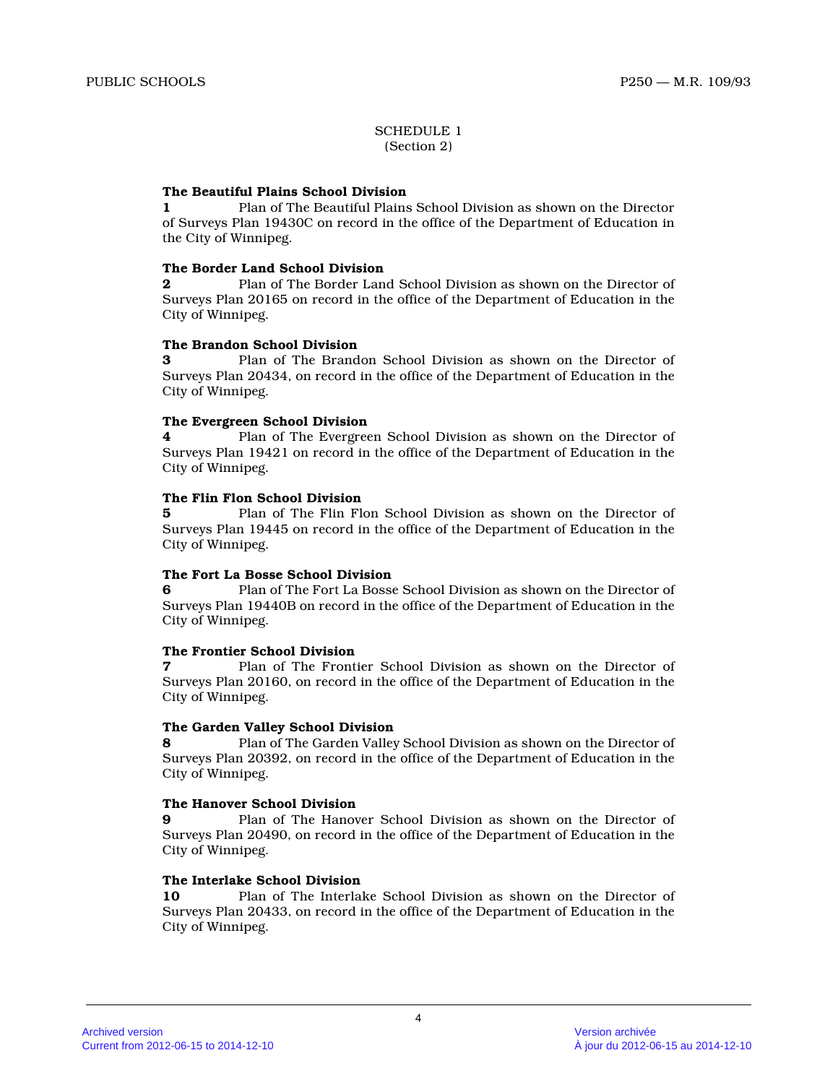#### SCHEDULE 1 (Section 2)

#### **The Beautiful Plains School Division**

**1** Plan of The Beautiful Plains School Division as shown on the Director of Surveys Plan 19430C on record in the office of the Department of Education in the City of Winnipeg.

#### **The Border Land School Division**

**2** Plan of The Border Land School Division as shown on the Director of Surveys Plan 20165 on record in the office of the Department of Education in the City of Winnipeg.

#### **The Brandon School Division**

**3** Plan of The Brandon School Division as shown on the Director of Surveys Plan 20434, on record in the office of the Department of Education in the City of Winnipeg.

#### **The Evergreen School Division**

**4** Plan of The Evergreen School Division as shown on the Director of Surveys Plan 19421 on record in the office of the Department of Education in the City of Winnipeg.

#### **The Flin Flon School Division**

**5** Plan of The Flin Flon School Division as shown on the Director of Surveys Plan 19445 on record in the office of the Department of Education in the City of Winnipeg.

#### **The Fort La Bosse School Division**

**6** Plan of The Fort La Bosse School Division as shown on the Director of Surveys Plan 19440B on record in the office of the Department of Education in the City of Winnipeg.

#### **The Frontier School Division**

**7** Plan of The Frontier School Division as shown on the Director of Surveys Plan 20160, on record in the office of the Department of Education in the City of Winnipeg.

#### **The Garden Valley School Division**

**8** Plan of The Garden Valley School Division as shown on the Director of Surveys Plan 20392, on record in the office of the Department of Education in the City of Winnipeg.

#### **The Hanover School Division**

**9** Plan of The Hanover School Division as shown on the Director of Surveys Plan 20490, on record in the office of the Department of Education in the City of Winnipeg.

#### **The Interlake School Division**

**10** Plan of The Interlake School Division as shown on the Director of Surveys Plan 20433, on record in the office of the Department of Education in the City of Winnipeg.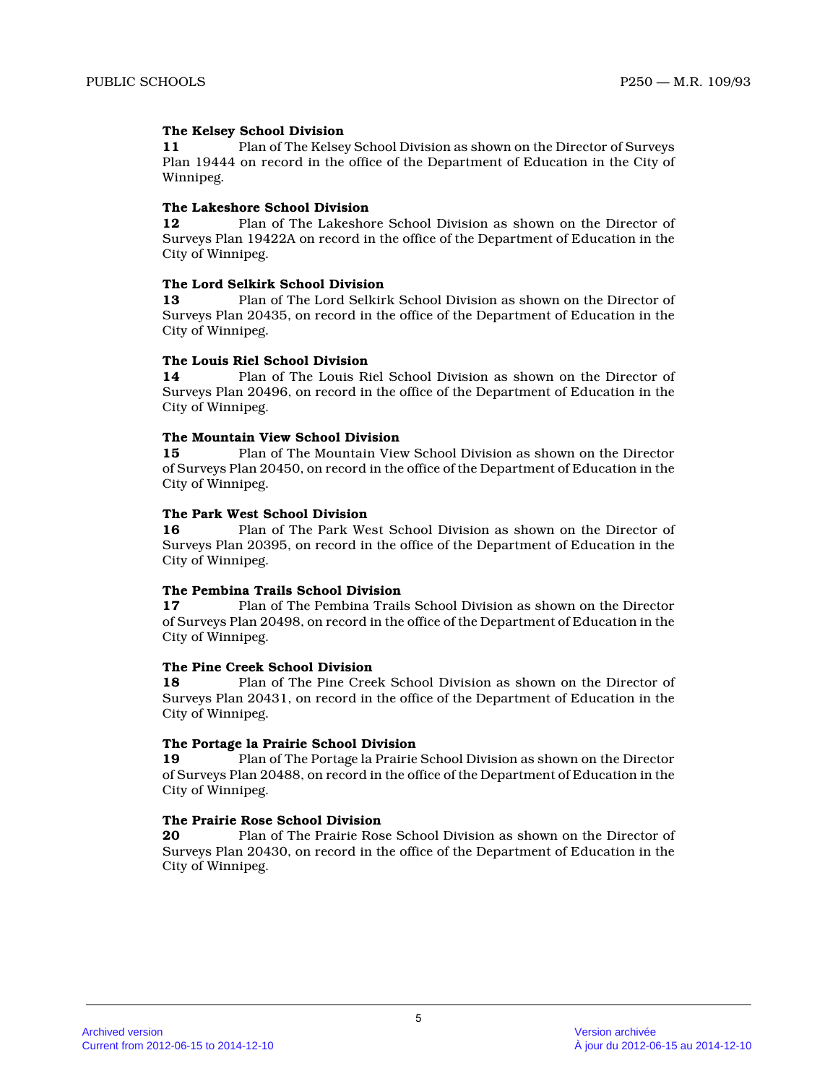#### **The Kelsey School Division**

**11** Plan of The Kelsey School Division as shown on the Director of Surveys Plan 19444 on record in the office of the Department of Education in the City of Winnipeg.

#### **The Lakeshore School Division**

**12** Plan of The Lakeshore School Division as shown on the Director of Surveys Plan 19422A on record in the office of the Department of Education in the City of Winnipeg.

#### **The Lord Selkirk School Division**

**13** Plan of The Lord Selkirk School Division as shown on the Director of Surveys Plan 20435, on record in the office of the Department of Education in the City of Winnipeg.

#### **The Louis Riel School Division**

**14** Plan of The Louis Riel School Division as shown on the Director of Surveys Plan 20496, on record in the office of the Department of Education in the City of Winnipeg.

#### **The Mountain View School Division**

**15** Plan of The Mountain View School Division as shown on the Director of Surveys Plan 20450, on record in the office of the Department of Education in the City of Winnipeg.

#### **The Park West School Division**

**16** Plan of The Park West School Division as shown on the Director of Surveys Plan 20395, on record in the office of the Department of Education in the City of Winnipeg.

### **The Pembina Trails School Division**

**17** Plan of The Pembina Trails School Division as shown on the Director of Surveys Plan 20498, on record in the office of the Department of Education in the City of Winnipeg.

#### **The Pine Creek School Division**

**18** Plan of The Pine Creek School Division as shown on the Director of Surveys Plan 20431, on record in the office of the Department of Education in the City of Winnipeg.

#### **The Portage la Prairie School Division**

**19** Plan of The Portage la Prairie School Division as shown on the Director of Surveys Plan 20488, on record in the office of the Department of Education in the City of Winnipeg.

#### **The Prairie Rose School Division**

**20** Plan of The Prairie Rose School Division as shown on the Director of Surveys Plan 20430, on record in the office of the Department of Education in the City of Winnipeg.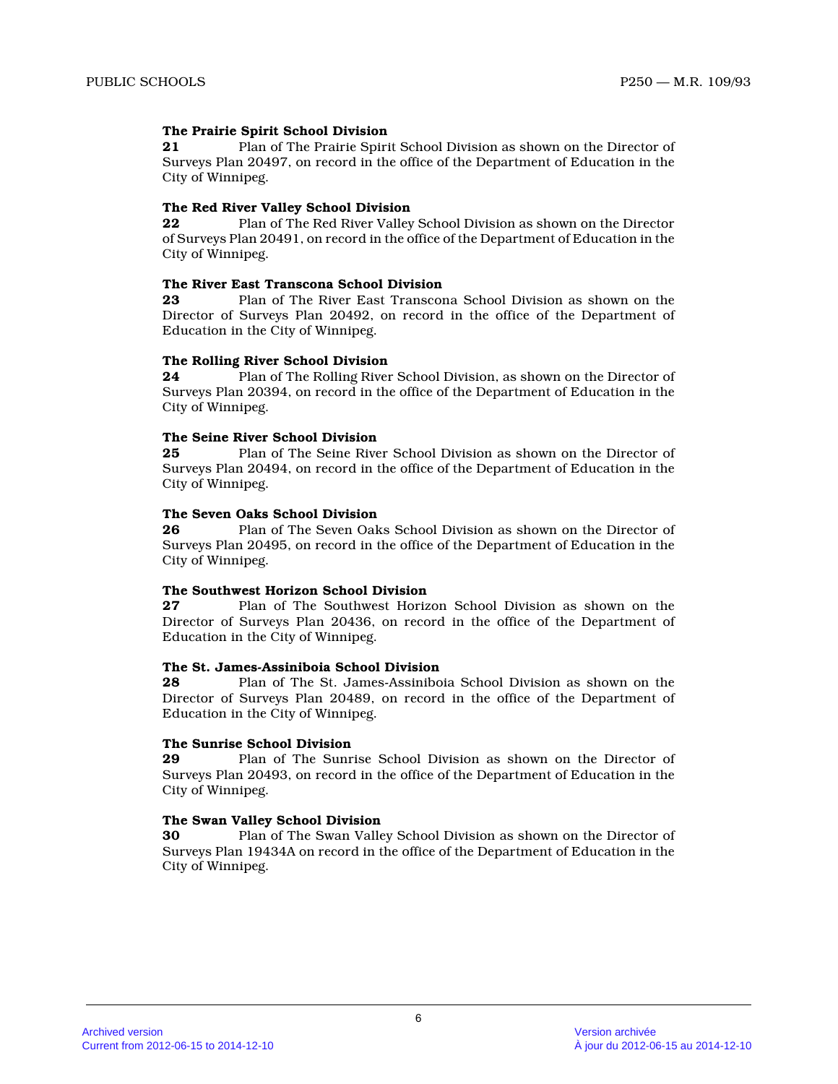#### **The Prairie Spirit School Division**

**21** Plan of The Prairie Spirit School Division as shown on the Director of Surveys Plan 20497, on record in the office of the Department of Education in the City of Winnipeg.

#### **The Red River Valley School Division**

**22** Plan of The Red River Valley School Division as shown on the Director of Surveys Plan 20491, on record in the office of the Department of Education in the City of Winnipeg.

#### **The River East Transcona School Division**

**23** Plan of The River East Transcona School Division as shown on the Director of Surveys Plan 20492, on record in the office of the Department of Education in the City of Winnipeg.

#### **The Rolling River School Division**

**24** Plan of The Rolling River School Division, as shown on the Director of Surveys Plan 20394, on record in the office of the Department of Education in the City of Winnipeg.

#### **The Seine River School Division**

**25** Plan of The Seine River School Division as shown on the Director of Surveys Plan 20494, on record in the office of the Department of Education in the City of Winnipeg.

## **The Seven Oaks School Division**<br>26 Plan of The Seven Oak

**26** Plan of The Seven Oaks School Division as shown on the Director of Surveys Plan 20495, on record in the office of the Department of Education in the City of Winnipeg.

#### **The Southwest Horizon School Division**

**27** Plan of The Southwest Horizon School Division as shown on the Director of Surveys Plan 20436, on record in the office of the Department of Education in the City of Winnipeg.

#### **The St. James-Assiniboia School Division**

**28** Plan of The St. James-Assiniboia School Division as shown on the Director of Surveys Plan 20489, on record in the office of the Department of Education in the City of Winnipeg.

#### **The Sunrise School Division**

**29** Plan of The Sunrise School Division as shown on the Director of Surveys Plan 20493, on record in the office of the Department of Education in the City of Winnipeg.

#### **The Swan Valley School Division**

**30** Plan of The Swan Valley School Division as shown on the Director of Surveys Plan 19434A on record in the office of the Department of Education in the City of Winnipeg.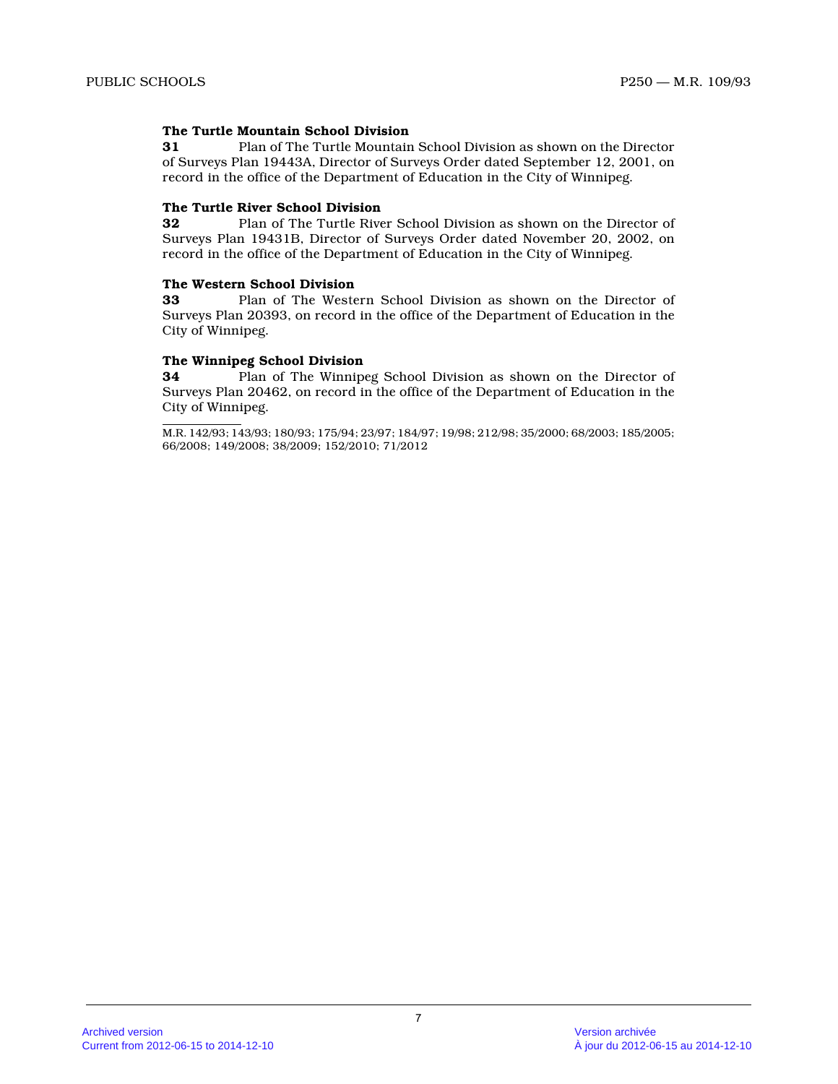#### **The Turtle Mountain School Division**

**31** Plan of The Turtle Mountain School Division as shown on the Director of Surveys Plan 19443A, Director of Surveys Order dated September 12, 2001, on record in the office of the Department of Education in the City of Winnipeg.

#### **The Turtle River School Division**

**32** Plan of The Turtle River School Division as shown on the Director of Surveys Plan 19431B, Director of Surveys Order dated November 20, 2002, on record in the office of the Department of Education in the City of Winnipeg.

#### **The Western School Division**

**33** Plan of The Western School Division as shown on the Director of Surveys Plan 20393, on record in the office of the Department of Education in the City of Winnipeg.

#### **The Winnipeg School Division**

**34** Plan of The Winnipeg School Division as shown on the Director of Surveys Plan 20462, on record in the office of the Department of Education in the City of Winnipeg.

M.R. 142/93; 143/93; 180/93; 175/94; 23/97; 184/97; 19/98; 212/98; 35/2000; 68/2003; 185/2005; 66/2008; 149/2008; 38/2009; 152/2010; 71/2012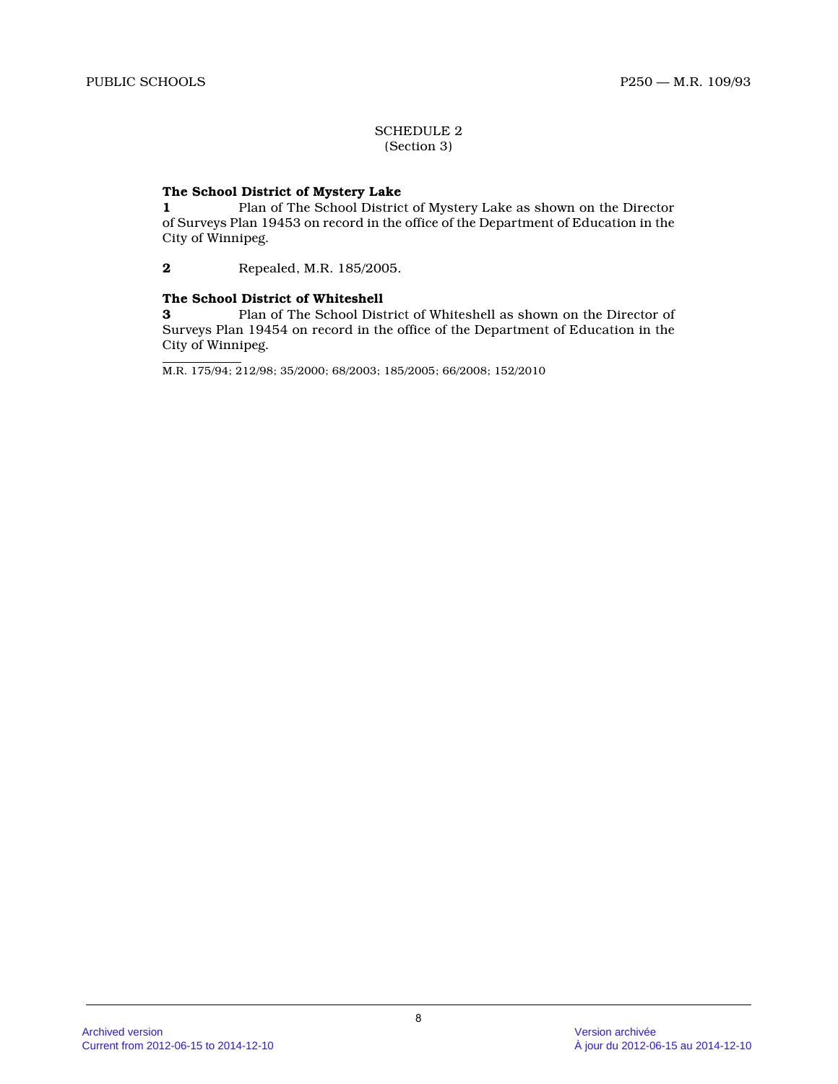#### SCHEDULE 2 (Section 3)

#### **The School District of Mystery Lake**

**1** Plan of The School District of Mystery Lake as shown on the Director of Surveys Plan 19453 on record in the office of the Department of Education in the City of Winnipeg.

**2** Repealed, M.R. 185/2005.

#### **The School District of Whiteshell**

**3** Plan of The School District of Whiteshell as shown on the Director of Surveys Plan 19454 on record in the office of the Department of Education in the City of Winnipeg.

M.R. 175/94; 212/98; 35/2000; 68/2003; 185/2005; 66/2008; 152/2010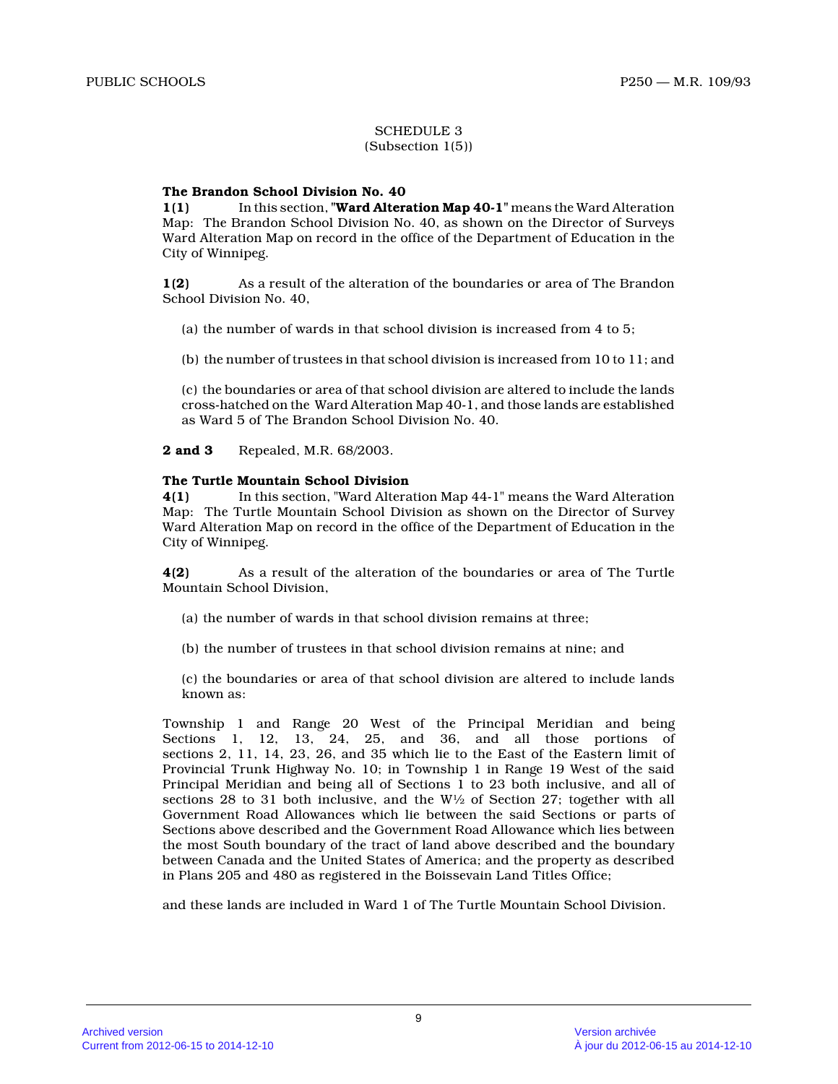#### SCHEDULE 3 (Subsection 1(5))

#### **The Brandon School Division No. 40**

**1(1)** In this section, **"Ward Alteration Map 40-1"** means the Ward Alteration Map: The Brandon School Division No. 40, as shown on the Director of Surveys Ward Alteration Map on record in the office of the Department of Education in the City of Winnipeg.

**1(2)** As a result of the alteration of the boundaries or area of The Brandon School Division No. 40,

(a) the number of wards in that school division is increased from 4 to 5;

(b) the number of trustees in that school division is increased from 10 to 11; and

(c) the boundaries or area of that school division are altered to include the lands cross-hatched on the Ward Alteration Map 40-1, and those lands are established as Ward 5 of The Brandon School Division No. 40.

**2 and 3** Repealed, M.R. 68/2003.

#### **The Turtle Mountain School Division**

**4(1)** In this section, "Ward Alteration Map 44-1" means the Ward Alteration Map: The Turtle Mountain School Division as shown on the Director of Survey Ward Alteration Map on record in the office of the Department of Education in the City of Winnipeg.

**4(2)** As a result of the alteration of the boundaries or area of The Turtle Mountain School Division,

- (a) the number of wards in that school division remains at three;
- (b) the number of trustees in that school division remains at nine; and

(c) the boundaries or area of that school division are altered to include lands known as:

Township 1 and Range 20 West of the Principal Meridian and being Sections 1, 12, 13, 24, 25, and 36, and all those portions of sections 2, 11, 14, 23, 26, and 35 which lie to the East of the Eastern limit of Provincial Trunk Highway No. 10; in Township 1 in Range 19 West of the said Principal Meridian and being all of Sections 1 to 23 both inclusive, and all of sections 28 to 31 both inclusive, and the  $W\frac{1}{2}$  of Section 27; together with all Government Road Allowances which lie between the said Sections or parts of Sections above described and the Government Road Allowance which lies between the most South boundary of the tract of land above described and the boundary between Canada and the United States of America; and the property as described in Plans 205 and 480 as registered in the Boissevain Land Titles Office;

and these lands are included in Ward 1 of The Turtle Mountain School Division.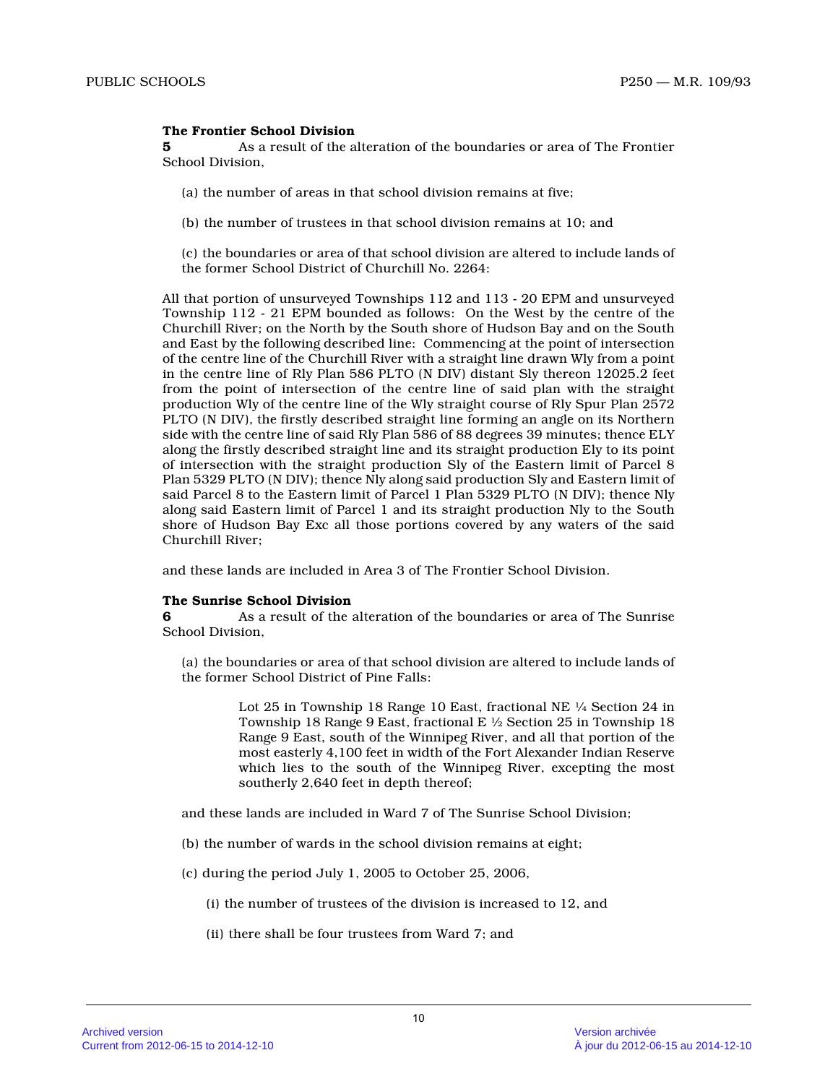#### **The Frontier School Division**

**5** As a result of the alteration of the boundaries or area of The Frontier School Division,

- (a) the number of areas in that school division remains at five;
- (b) the number of trustees in that school division remains at 10; and
- (c) the boundaries or area of that school division are altered to include lands of the former School District of Churchill No. 2264:

All that portion of unsurveyed Townships 112 and 113 - 20 EPM and unsurveyed Township 112 - 21 EPM bounded as follows: On the West by the centre of the Churchill River; on the North by the South shore of Hudson Bay and on the South and East by the following described line: Commencing at the point of intersection of the centre line of the Churchill River with a straight line drawn Wly from a point in the centre line of Rly Plan 586 PLTO (N DIV) distant Sly thereon 12025.2 feet from the point of intersection of the centre line of said plan with the straight production Wly of the centre line of the Wly straight course of Rly Spur Plan 2572 PLTO (N DIV), the firstly described straight line forming an angle on its Northern side with the centre line of said Rly Plan 586 of 88 degrees 39 minutes; thence ELY along the firstly described straight line and its straight production Ely to its point of intersection with the straight production Sly of the Eastern limit of Parcel 8 Plan 5329 PLTO (N DIV); thence Nly along said production Sly and Eastern limit of said Parcel 8 to the Eastern limit of Parcel 1 Plan 5329 PLTO (N DIV); thence Nly along said Eastern limit of Parcel 1 and its straight production Nly to the South shore of Hudson Bay Exc all those portions covered by any waters of the said Churchill River;

and these lands are included in Area 3 of The Frontier School Division.

#### **The Sunrise School Division**

**6** As a result of the alteration of the boundaries or area of The Sunrise School Division,

(a) the boundaries or area of that school division are altered to include lands of the former School District of Pine Falls:

> Lot 25 in Township 18 Range 10 East, fractional NE ¼ Section 24 in Township 18 Range 9 East, fractional E ½ Section 25 in Township 18 Range 9 East, south of the Winnipeg River, and all that portion of the most easterly 4,100 feet in width of the Fort Alexander Indian Reserve which lies to the south of the Winnipeg River, excepting the most southerly 2,640 feet in depth thereof;

and these lands are included in Ward 7 of The Sunrise School Division;

- (b) the number of wards in the school division remains at eight;
- (c) during the period July 1, 2005 to October 25, 2006,
	- (i) the number of trustees of the division is increased to 12, and
	- (ii) there shall be four trustees from Ward 7; and